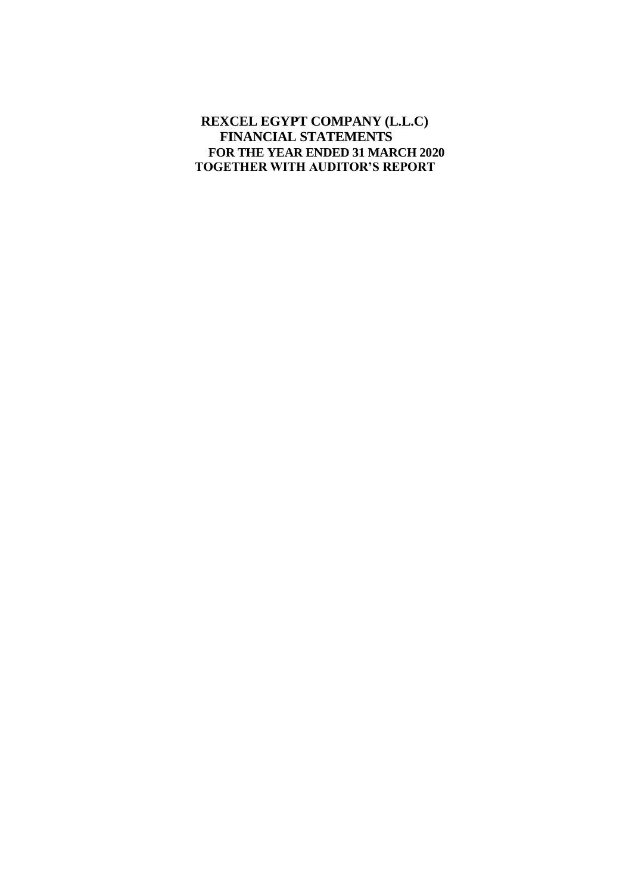# **REXCEL EGYPT COMPANY (L.L.C) FINANCIAL STATEMENTS FOR THE YEAR ENDED 31 MARCH 2020 TOGETHER WITH AUDITOR'S REPORT**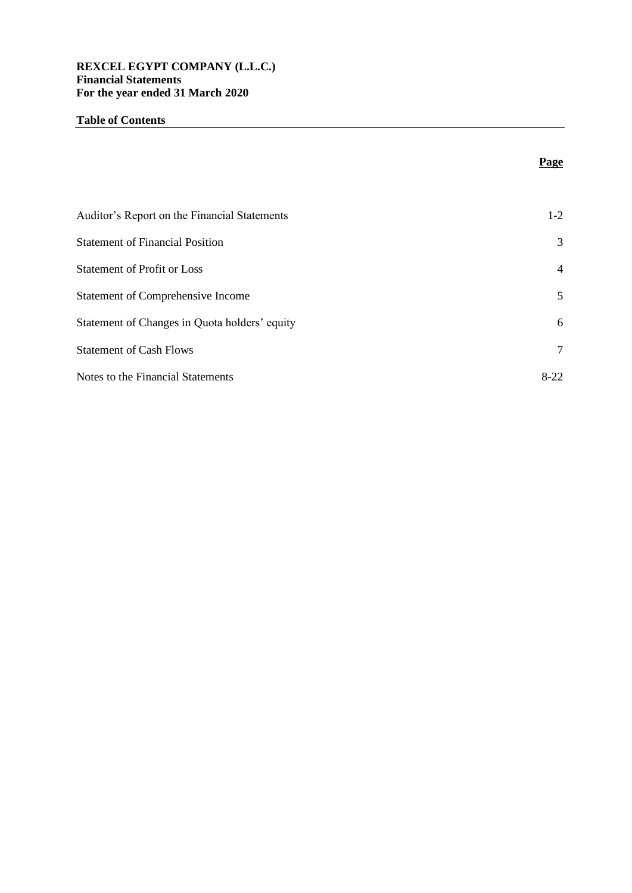## **REXCEL EGYPT COMPANY (L.L.C.) Financial Statements For the year ended 31 March 2020**

## **Table of Contents**

|                                               | Page   |
|-----------------------------------------------|--------|
|                                               |        |
| Auditor's Report on the Financial Statements  | $1-2$  |
| <b>Statement of Financial Position</b>        | 3      |
| <b>Statement of Profit or Loss</b>            | 4      |
| Statement of Comprehensive Income             | 5      |
| Statement of Changes in Quota holders' equity | 6      |
| <b>Statement of Cash Flows</b>                | 7      |
| Notes to the Financial Statements             | $8-22$ |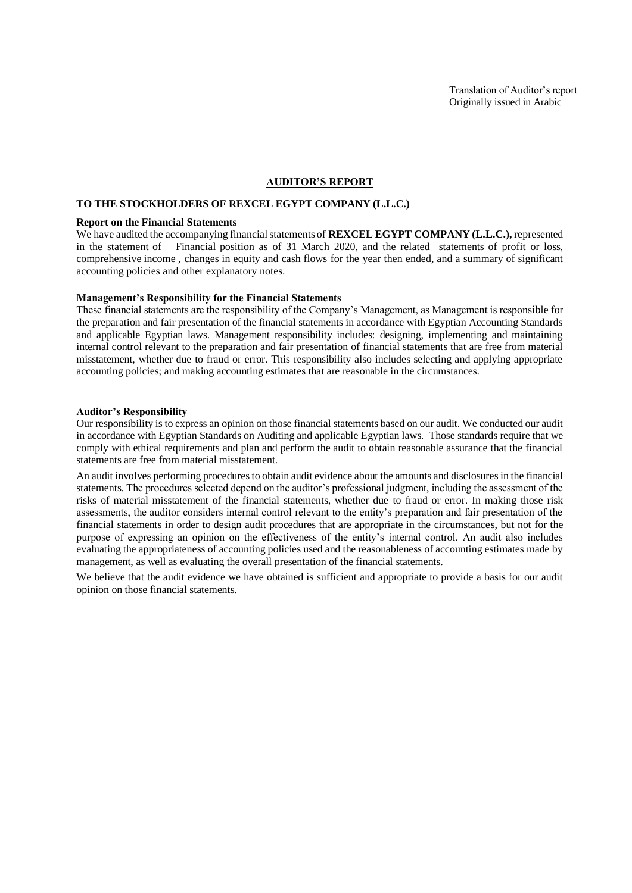#### **AUDITOR'S REPORT**

### **TO THE STOCKHOLDERS OF REXCEL EGYPT COMPANY (L.L.C.)**

#### **Report on the Financial Statements**

We have audited the accompanying financial statements of **REXCEL EGYPT COMPANY (L.L.C.)**, represented in the statement of Financial position as of 31 March 2020, and the related statements of profit or loss, comprehensive income , changes in equity and cash flows for the year then ended, and a summary of significant accounting policies and other explanatory notes.

#### **Management's Responsibility for the Financial Statements**

These financial statements are the responsibility of the Company's Management, as Management is responsible for the preparation and fair presentation of the financial statements in accordance with Egyptian Accounting Standards and applicable Egyptian laws. Management responsibility includes: designing, implementing and maintaining internal control relevant to the preparation and fair presentation of financial statements that are free from material misstatement, whether due to fraud or error. This responsibility also includes selecting and applying appropriate accounting policies; and making accounting estimates that are reasonable in the circumstances.

#### **Auditor's Responsibility**

Our responsibility is to express an opinion on those financial statements based on our audit. We conducted our audit in accordance with Egyptian Standards on Auditing and applicable Egyptian laws. Those standards require that we comply with ethical requirements and plan and perform the audit to obtain reasonable assurance that the financial statements are free from material misstatement.

An audit involves performing procedures to obtain audit evidence about the amounts and disclosures in the financial statements. The procedures selected depend on the auditor's professional judgment, including the assessment of the risks of material misstatement of the financial statements, whether due to fraud or error. In making those risk assessments, the auditor considers internal control relevant to the entity's preparation and fair presentation of the financial statements in order to design audit procedures that are appropriate in the circumstances, but not for the purpose of expressing an opinion on the effectiveness of the entity's internal control. An audit also includes evaluating the appropriateness of accounting policies used and the reasonableness of accounting estimates made by management, as well as evaluating the overall presentation of the financial statements.

We believe that the audit evidence we have obtained is sufficient and appropriate to provide a basis for our audit opinion on those financial statements.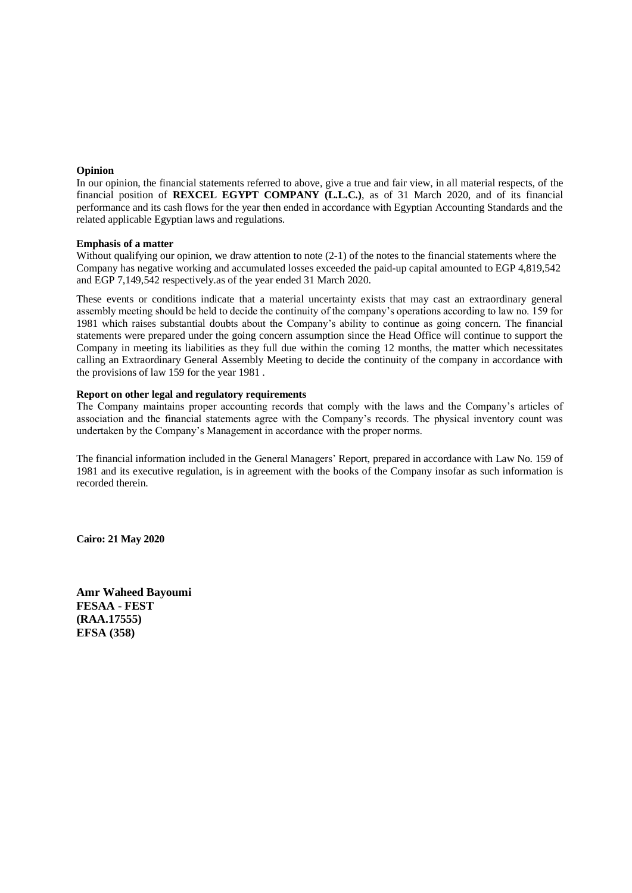#### **Opinion**

In our opinion, the financial statements referred to above, give a true and fair view, in all material respects, of the financial position of **REXCEL EGYPT COMPANY (L.L.C.)**, as of 31 March 2020, and of its financial performance and its cash flows for the year then ended in accordance with Egyptian Accounting Standards and the related applicable Egyptian laws and regulations.

#### **Emphasis of a matter**

Without qualifying our opinion, we draw attention to note (2-1) of the notes to the financial statements where the Company has negative working and accumulated losses exceeded the paid-up capital amounted to EGP 4,819,542 and EGP 7,149,542 respectively.as of the year ended 31 March 2020.

These events or conditions indicate that a material uncertainty exists that may cast an extraordinary general assembly meeting should be held to decide the continuity of the company's operations according to law no. 159 for 1981 which raises substantial doubts about the Company's ability to continue as going concern. The financial statements were prepared under the going concern assumption since the Head Office will continue to support the Company in meeting its liabilities as they full due within the coming 12 months, the matter which necessitates calling an Extraordinary General Assembly Meeting to decide the continuity of the company in accordance with the provisions of law 159 for the year 1981 .

#### **Report on other legal and regulatory requirements**

The Company maintains proper accounting records that comply with the laws and the Company's articles of association and the financial statements agree with the Company's records. The physical inventory count was undertaken by the Company's Management in accordance with the proper norms.

The financial information included in the General Managers' Report, prepared in accordance with Law No. 159 of 1981 and its executive regulation, is in agreement with the books of the Company insofar as such information is recorded therein.

**Cairo: 21 May 2020**

**Amr Waheed Bayoumi FESAA - FEST (RAA.17555) EFSA (358)**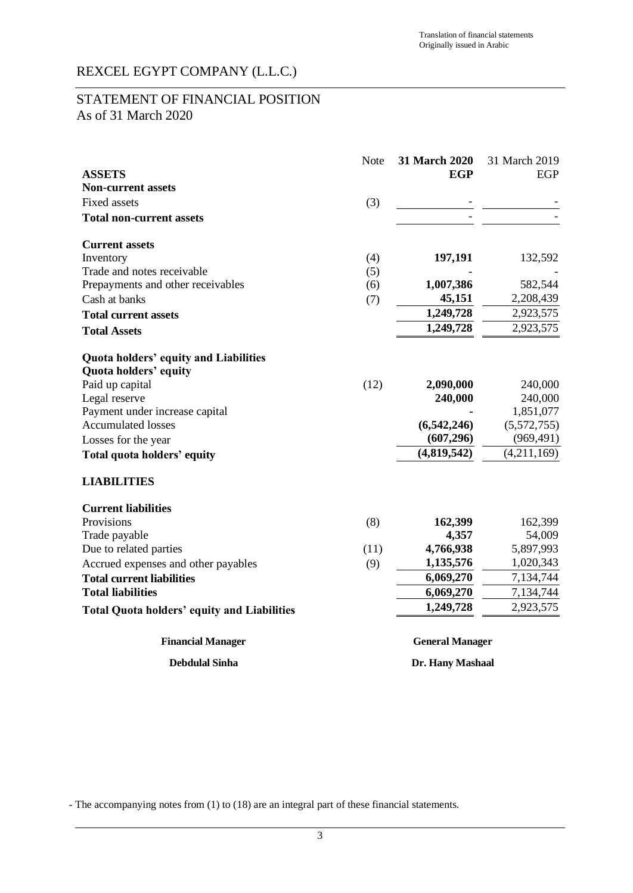# STATEMENT OF FINANCIAL POSITION As of 31 March 2020

|                                                    | Note             | 31 March 2020          | 31 March 2019 |
|----------------------------------------------------|------------------|------------------------|---------------|
| <b>ASSETS</b>                                      |                  | <b>EGP</b>             | EGP           |
| <b>Non-current assets</b>                          |                  |                        |               |
| <b>Fixed assets</b>                                | (3)              |                        |               |
| <b>Total non-current assets</b>                    |                  |                        |               |
| <b>Current assets</b>                              |                  |                        |               |
| Inventory                                          | (4)              | 197,191                | 132,592       |
| Trade and notes receivable                         | (5)              |                        |               |
| Prepayments and other receivables                  | (6)              | 1,007,386              | 582,544       |
| Cash at banks                                      | (7)              | 45,151                 | 2,208,439     |
| <b>Total current assets</b>                        |                  | 1,249,728              | 2,923,575     |
| <b>Total Assets</b>                                |                  | 1,249,728              | 2,923,575     |
| <b>Quota holders' equity and Liabilities</b>       |                  |                        |               |
| Quota holders' equity                              |                  |                        |               |
| Paid up capital                                    | (12)             | 2,090,000              | 240,000       |
| Legal reserve                                      |                  | 240,000                | 240,000       |
| Payment under increase capital                     |                  |                        | 1,851,077     |
| <b>Accumulated losses</b>                          |                  | (6,542,246)            | (5,572,755)   |
| Losses for the year                                |                  | (607, 296)             | (969, 491)    |
| Total quota holders' equity                        |                  | (4,819,542)            | (4,211,169)   |
| <b>LIABILITIES</b>                                 |                  |                        |               |
| <b>Current liabilities</b>                         |                  |                        |               |
| Provisions                                         | (8)              | 162,399                | 162,399       |
| Trade payable                                      |                  | 4,357                  | 54,009        |
| Due to related parties                             | (11)             | 4,766,938              | 5,897,993     |
| Accrued expenses and other payables                | (9)              | 1,135,576              | 1,020,343     |
| <b>Total current liabilities</b>                   |                  | 6,069,270              | 7,134,744     |
| <b>Total liabilities</b>                           |                  | 6,069,270              | 7,134,744     |
| <b>Total Quota holders' equity and Liabilities</b> |                  | 1,249,728              | 2,923,575     |
| <b>Financial Manager</b>                           |                  | <b>General Manager</b> |               |
| <b>Debdulal Sinha</b>                              | Dr. Hany Mashaal |                        |               |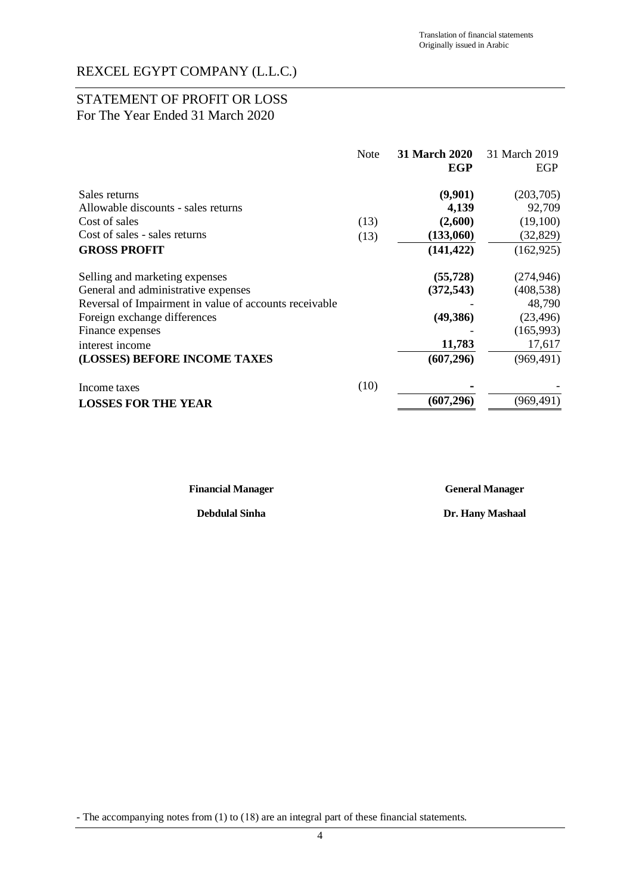# STATEMENT OF PROFIT OR LOSS For The Year Ended 31 March 2020

|                                                        | <b>Note</b> | <b>31 March 2020</b><br>EGP | 31 March 2019<br>EGP |
|--------------------------------------------------------|-------------|-----------------------------|----------------------|
| Sales returns                                          |             | (9,901)                     | (203,705)            |
| Allowable discounts - sales returns                    |             | 4,139                       | 92,709               |
| Cost of sales                                          | (13)        | (2,600)                     | (19,100)             |
| Cost of sales - sales returns                          | (13)        | (133,060)                   | (32, 829)            |
| <b>GROSS PROFIT</b>                                    |             | (141, 422)                  | (162, 925)           |
| Selling and marketing expenses                         |             | (55, 728)                   | (274, 946)           |
| General and administrative expenses                    |             | (372, 543)                  | (408, 538)           |
| Reversal of Impairment in value of accounts receivable |             |                             | 48,790               |
| Foreign exchange differences                           |             | (49, 386)                   | (23, 496)            |
| Finance expenses                                       |             |                             | (165,993)            |
| interest income                                        |             | 11,783                      | 17,617               |
| (LOSSES) BEFORE INCOME TAXES                           |             | (607, 296)                  | (969, 491)           |
| Income taxes                                           | (10)        |                             |                      |
| <b>LOSSES FOR THE YEAR</b>                             |             | (607, 296)                  | (969, 491)           |

**Financial Manager General Manager**

**Debdulal Sinha Dr. Hany Mashaal**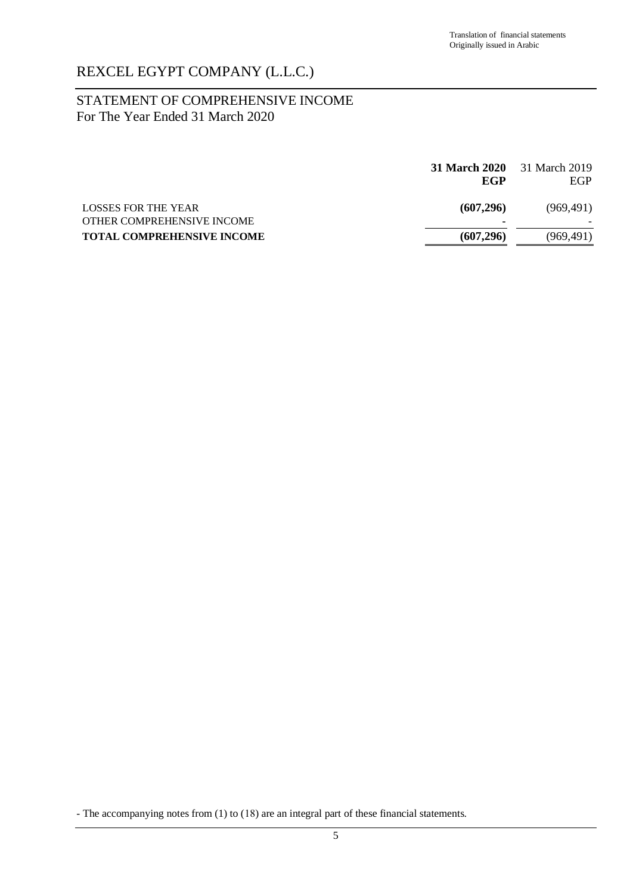# STATEMENT OF COMPREHENSIVE INCOME For The Year Ended 31 March 2020

|                                                   | EGP             | <b>31 March 2020</b> 31 March 2019<br>EGP |
|---------------------------------------------------|-----------------|-------------------------------------------|
| LOSSES FOR THE YEAR<br>OTHER COMPREHENSIVE INCOME | (607, 296)<br>۰ | (969, 491)                                |
| <b>TOTAL COMPREHENSIVE INCOME</b>                 | (607, 296)      | (969, 491)                                |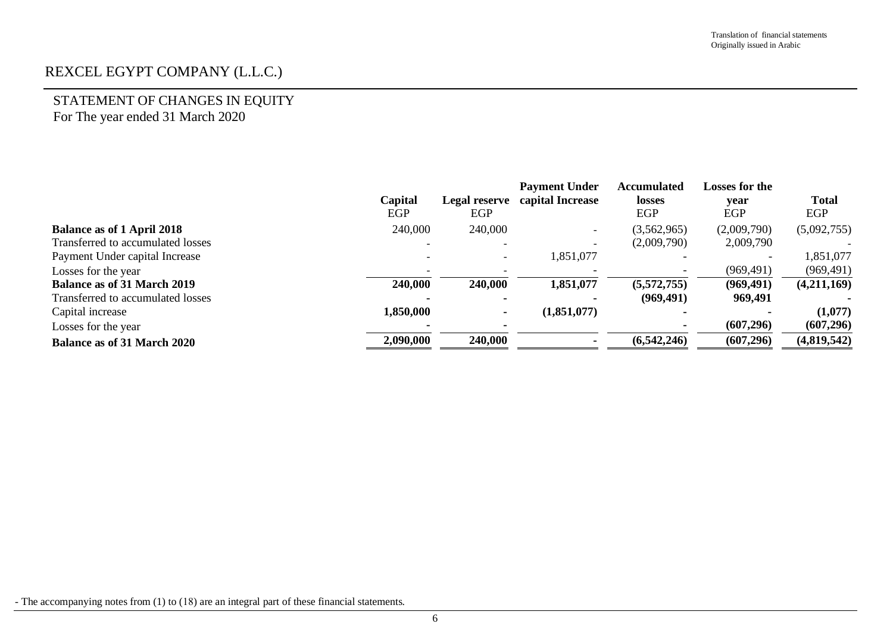# STATEMENT OF CHANGES IN EQUITY For The year ended 31 March 2020

|                                    | Capital<br>EGP | <b>Legal reserve</b><br>EGP | <b>Payment Under</b><br>capital Increase | <b>Accumulated</b><br>losses<br><b>EGP</b> | Losses for the<br>vear<br>EGP | <b>Total</b><br>EGP |
|------------------------------------|----------------|-----------------------------|------------------------------------------|--------------------------------------------|-------------------------------|---------------------|
| <b>Balance as of 1 April 2018</b>  | 240,000        | 240,000                     | $\overline{\phantom{0}}$                 | (3,562,965)                                | (2,009,790)                   | (5,092,755)         |
| Transferred to accumulated losses  |                | $\overline{\phantom{a}}$    |                                          | (2,009,790)                                | 2,009,790                     |                     |
| Payment Under capital Increase     |                | $\overline{\phantom{0}}$    | 1,851,077                                |                                            |                               | 1,851,077           |
| Losses for the year                |                |                             |                                          |                                            | (969, 491)                    | (969, 491)          |
| <b>Balance as of 31 March 2019</b> | 240,000        | 240,000                     | 1,851,077                                | (5,572,755)                                | (969, 491)                    | (4,211,169)         |
| Transferred to accumulated losses  |                |                             |                                          | (969, 491)                                 | 969,491                       |                     |
| Capital increase                   | 1,850,000      |                             | (1,851,077)                              |                                            |                               | (1,077)             |
| Losses for the year                |                |                             |                                          |                                            | (607, 296)                    | (607, 296)          |
| <b>Balance as of 31 March 2020</b> | 2,090,000      | 240,000                     |                                          | (6,542,246)                                | (607, 296)                    | (4,819,542)         |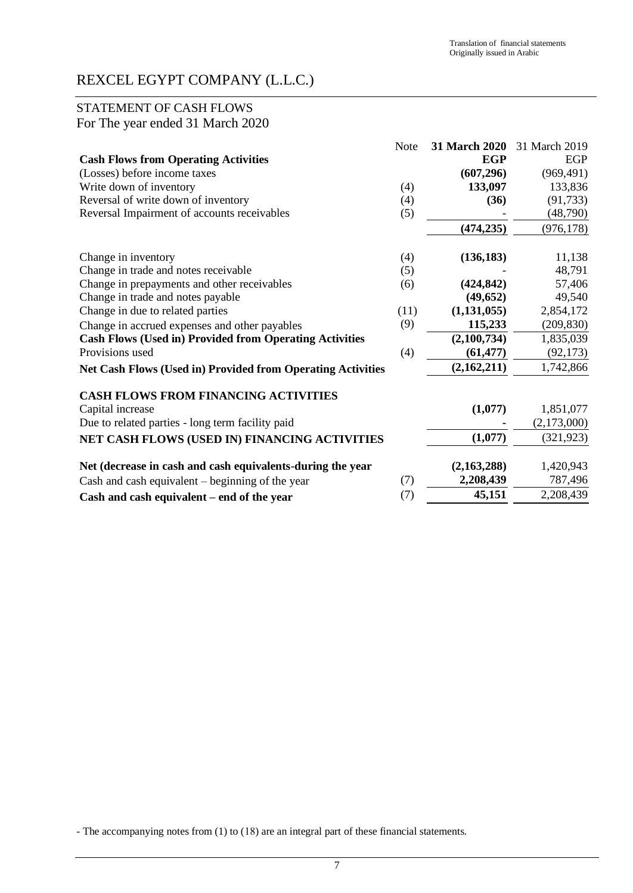# STATEMENT OF CASH FLOWS For The year ended 31 March 2020

|                                                                    | Note | 31 March 2020 | 31 March 2019 |
|--------------------------------------------------------------------|------|---------------|---------------|
| <b>Cash Flows from Operating Activities</b>                        |      | <b>EGP</b>    | <b>EGP</b>    |
| (Losses) before income taxes                                       |      | (607, 296)    | (969, 491)    |
| Write down of inventory                                            | (4)  | 133,097       | 133,836       |
| Reversal of write down of inventory                                | (4)  | (36)          | (91, 733)     |
| Reversal Impairment of accounts receivables                        | (5)  |               | (48,790)      |
|                                                                    |      | (474, 235)    | (976, 178)    |
| Change in inventory                                                | (4)  | (136, 183)    | 11,138        |
| Change in trade and notes receivable                               | (5)  |               | 48,791        |
| Change in prepayments and other receivables                        | (6)  | (424, 842)    | 57,406        |
| Change in trade and notes payable                                  |      | (49, 652)     | 49,540        |
| Change in due to related parties                                   | (11) | (1, 131, 055) | 2,854,172     |
| Change in accrued expenses and other payables                      | (9)  | 115,233       | (209, 830)    |
| <b>Cash Flows (Used in) Provided from Operating Activities</b>     |      | (2,100,734)   | 1,835,039     |
| Provisions used                                                    | (4)  | (61, 477)     | (92, 173)     |
| <b>Net Cash Flows (Used in) Provided from Operating Activities</b> |      | (2,162,211)   | 1,742,866     |
| <b>CASH FLOWS FROM FINANCING ACTIVITIES</b>                        |      |               |               |
| Capital increase                                                   |      | (1,077)       | 1,851,077     |
| Due to related parties - long term facility paid                   |      |               | (2,173,000)   |
| NET CASH FLOWS (USED IN) FINANCING ACTIVITIES                      |      | (1,077)       | (321, 923)    |
| Net (decrease in cash and cash equivalents-during the year         |      | (2,163,288)   | 1,420,943     |
| Cash and cash equivalent $-$ beginning of the year                 | (7)  | 2,208,439     | 787,496       |
| Cash and cash equivalent – end of the year                         | (7)  | 45,151        | 2,208,439     |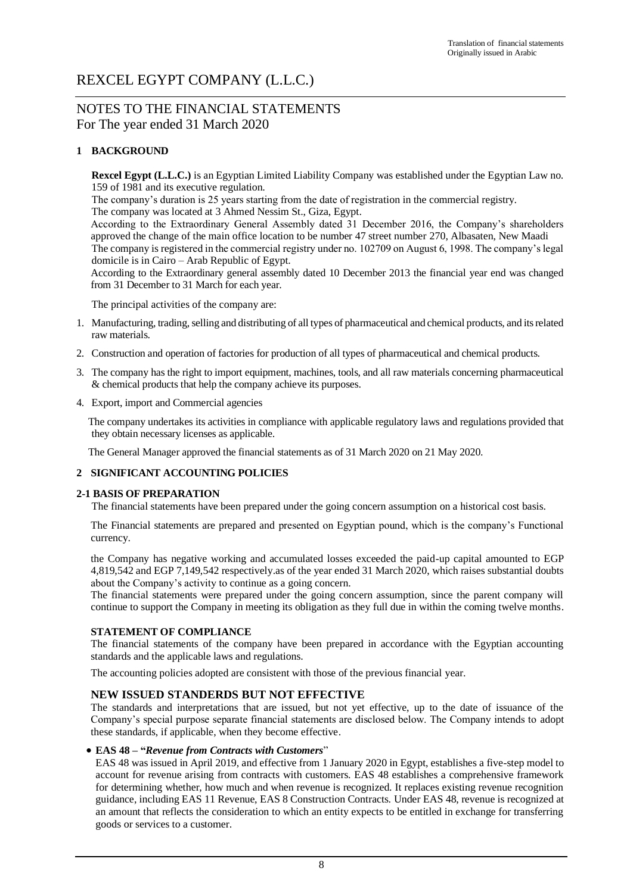# NOTES TO THE FINANCIAL STATEMENTS For The year ended 31 March 2020

## **1 BACKGROUND**

**Rexcel Egypt (L.L.C.)** is an Egyptian Limited Liability Company was established under the Egyptian Law no. 159 of 1981 and its executive regulation.

The company's duration is 25 years starting from the date of registration in the commercial registry.

The company was located at 3 Ahmed Nessim St., Giza, Egypt.

According to the Extraordinary General Assembly dated 31 December 2016, the Company's shareholders approved the change of the main office location to be number 47 street number 270, Albasaten, New Maadi The company is registered in the commercial registry under no. 102709 on August 6, 1998. The company's legal domicile is in Cairo – Arab Republic of Egypt.

According to the Extraordinary general assembly dated 10 December 2013 the financial year end was changed from 31 December to 31 March for each year.

The principal activities of the company are:

- 1. Manufacturing, trading, selling and distributing of all types of pharmaceutical and chemical products, and its related raw materials.
- 2. Construction and operation of factories for production of all types of pharmaceutical and chemical products.
- 3. The company has the right to import equipment, machines, tools, and all raw materials concerning pharmaceutical & chemical products that help the company achieve its purposes.
- 4. Export, import and Commercial agencies

The company undertakes its activities in compliance with applicable regulatory laws and regulations provided that they obtain necessary licenses as applicable.

The General Manager approved the financial statements as of 31 March 2020 on 21 May 2020.

### **2 SIGNIFICANT ACCOUNTING POLICIES**

### **2-1 BASIS OF PREPARATION**

The financial statements have been prepared under the going concern assumption on a historical cost basis.

The Financial statements are prepared and presented on Egyptian pound, which is the company's Functional currency.

the Company has negative working and accumulated losses exceeded the paid-up capital amounted to EGP 4,819,542 and EGP 7,149,542 respectively.as of the year ended 31 March 2020, which raises substantial doubts about the Company's activity to continue as a going concern.

The financial statements were prepared under the going concern assumption, since the parent company will continue to support the Company in meeting its obligation as they full due in within the coming twelve months.

### **STATEMENT OF COMPLIANCE**

The financial statements of the company have been prepared in accordance with the Egyptian accounting standards and the applicable laws and regulations.

The accounting policies adopted are consistent with those of the previous financial year.

## **NEW ISSUED STANDERDS BUT NOT EFFECTIVE**

The standards and interpretations that are issued, but not yet effective, up to the date of issuance of the Company's special purpose separate financial statements are disclosed below. The Company intends to adopt these standards, if applicable, when they become effective.

### • **EAS 48 – "***Revenue from Contracts with Customers*"

EAS 48 was issued in April 2019, and effective from 1 January 2020 in Egypt, establishes a five-step model to account for revenue arising from contracts with customers. EAS 48 establishes a comprehensive framework for determining whether, how much and when revenue is recognized. It replaces existing revenue recognition guidance, including EAS 11 Revenue, EAS 8 Construction Contracts. Under EAS 48, revenue is recognized at an amount that reflects the consideration to which an entity expects to be entitled in exchange for transferring goods or services to a customer.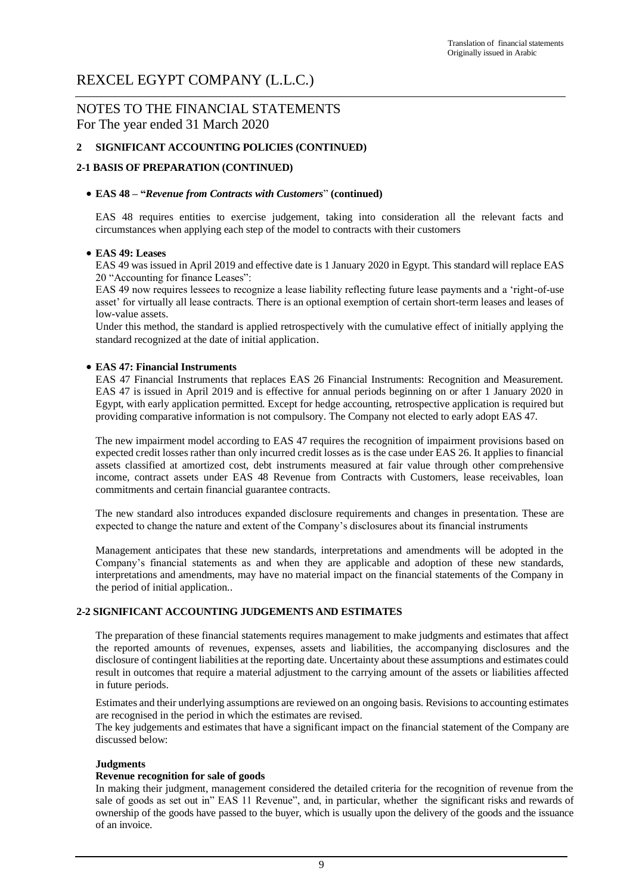# NOTES TO THE FINANCIAL STATEMENTS For The year ended 31 March 2020

## **2 SIGNIFICANT ACCOUNTING POLICIES (CONTINUED)**

## **2-1 BASIS OF PREPARATION (CONTINUED)**

### • **EAS 48 – "***Revenue from Contracts with Customers*" **(continued)**

EAS 48 requires entities to exercise judgement, taking into consideration all the relevant facts and circumstances when applying each step of the model to contracts with their customers

### • **EAS 49: Leases**

EAS 49 was issued in April 2019 and effective date is 1 January 2020 in Egypt. This standard will replace EAS 20 "Accounting for finance Leases":

EAS 49 now requires lessees to recognize a lease liability reflecting future lease payments and a 'right-of-use asset' for virtually all lease contracts. There is an optional exemption of certain short-term leases and leases of low-value assets.

Under this method, the standard is applied retrospectively with the cumulative effect of initially applying the standard recognized at the date of initial application.

### • **EAS 47: Financial Instruments**

EAS 47 Financial Instruments that replaces EAS 26 Financial Instruments: Recognition and Measurement. EAS 47 is issued in April 2019 and is effective for annual periods beginning on or after 1 January 2020 in Egypt, with early application permitted. Except for hedge accounting, retrospective application is required but providing comparative information is not compulsory. The Company not elected to early adopt EAS 47.

The new impairment model according to EAS 47 requires the recognition of impairment provisions based on expected credit losses rather than only incurred credit losses as is the case under EAS 26. It applies to financial assets classified at amortized cost, debt instruments measured at fair value through other comprehensive income, contract assets under EAS 48 Revenue from Contracts with Customers, lease receivables, loan commitments and certain financial guarantee contracts.

The new standard also introduces expanded disclosure requirements and changes in presentation. These are expected to change the nature and extent of the Company's disclosures about its financial instruments

Management anticipates that these new standards, interpretations and amendments will be adopted in the Company's financial statements as and when they are applicable and adoption of these new standards, interpretations and amendments, may have no material impact on the financial statements of the Company in the period of initial application..

### **2-2 SIGNIFICANT ACCOUNTING JUDGEMENTS AND ESTIMATES**

The preparation of these financial statements requires management to make judgments and estimates that affect the reported amounts of revenues, expenses, assets and liabilities, the accompanying disclosures and the disclosure of contingent liabilities at the reporting date. Uncertainty about these assumptions and estimates could result in outcomes that require a material adjustment to the carrying amount of the assets or liabilities affected in future periods.

Estimates and their underlying assumptions are reviewed on an ongoing basis. Revisions to accounting estimates are recognised in the period in which the estimates are revised.

The key judgements and estimates that have a significant impact on the financial statement of the Company are discussed below:

### **Judgments**

#### **Revenue recognition for sale of goods**

In making their judgment, management considered the detailed criteria for the recognition of revenue from the sale of goods as set out in" EAS 11 Revenue", and, in particular, whether the significant risks and rewards of ownership of the goods have passed to the buyer, which is usually upon the delivery of the goods and the issuance of an invoice.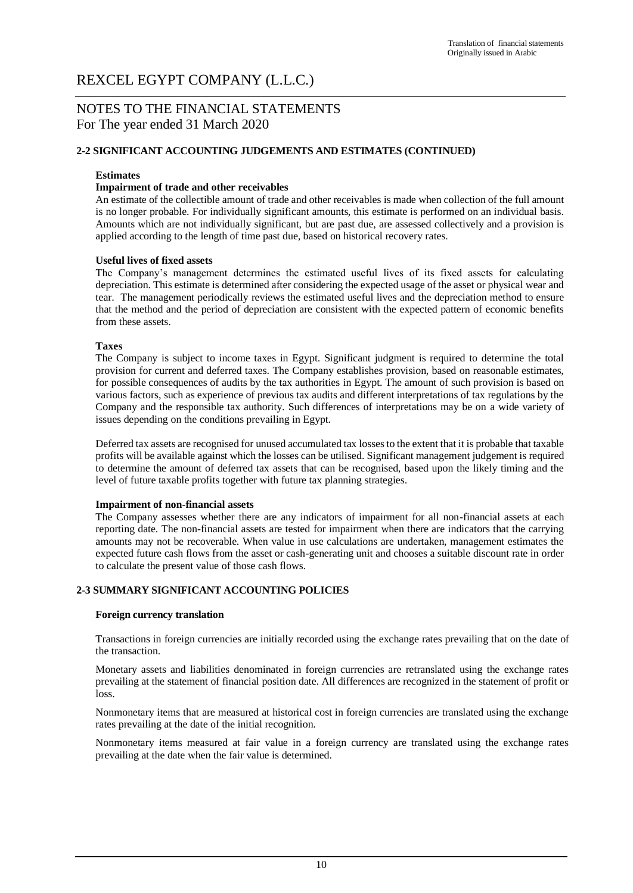# NOTES TO THE FINANCIAL STATEMENTS For The year ended 31 March 2020

### **2-2 SIGNIFICANT ACCOUNTING JUDGEMENTS AND ESTIMATES (CONTINUED)**

#### **Estimates**

#### **Impairment of trade and other receivables**

An estimate of the collectible amount of trade and other receivables is made when collection of the full amount is no longer probable. For individually significant amounts, this estimate is performed on an individual basis. Amounts which are not individually significant, but are past due, are assessed collectively and a provision is applied according to the length of time past due, based on historical recovery rates.

#### **Useful lives of fixed assets**

The Company's management determines the estimated useful lives of its fixed assets for calculating depreciation. This estimate is determined after considering the expected usage of the asset or physical wear and tear. The management periodically reviews the estimated useful lives and the depreciation method to ensure that the method and the period of depreciation are consistent with the expected pattern of economic benefits from these assets.

#### **Taxes**

The Company is subject to income taxes in Egypt. Significant judgment is required to determine the total provision for current and deferred taxes. The Company establishes provision, based on reasonable estimates, for possible consequences of audits by the tax authorities in Egypt. The amount of such provision is based on various factors, such as experience of previous tax audits and different interpretations of tax regulations by the Company and the responsible tax authority. Such differences of interpretations may be on a wide variety of issues depending on the conditions prevailing in Egypt.

Deferred tax assets are recognised for unused accumulated tax losses to the extent that it is probable that taxable profits will be available against which the losses can be utilised. Significant management judgement is required to determine the amount of deferred tax assets that can be recognised, based upon the likely timing and the level of future taxable profits together with future tax planning strategies.

#### **Impairment of non-financial assets**

The Company assesses whether there are any indicators of impairment for all non-financial assets at each reporting date. The non-financial assets are tested for impairment when there are indicators that the carrying amounts may not be recoverable. When value in use calculations are undertaken, management estimates the expected future cash flows from the asset or cash-generating unit and chooses a suitable discount rate in order to calculate the present value of those cash flows.

### **2-3 SUMMARY SIGNIFICANT ACCOUNTING POLICIES**

#### **Foreign currency translation**

Transactions in foreign currencies are initially recorded using the exchange rates prevailing that on the date of the transaction.

Monetary assets and liabilities denominated in foreign currencies are retranslated using the exchange rates prevailing at the statement of financial position date. All differences are recognized in the statement of profit or loss.

Nonmonetary items that are measured at historical cost in foreign currencies are translated using the exchange rates prevailing at the date of the initial recognition.

Nonmonetary items measured at fair value in a foreign currency are translated using the exchange rates prevailing at the date when the fair value is determined.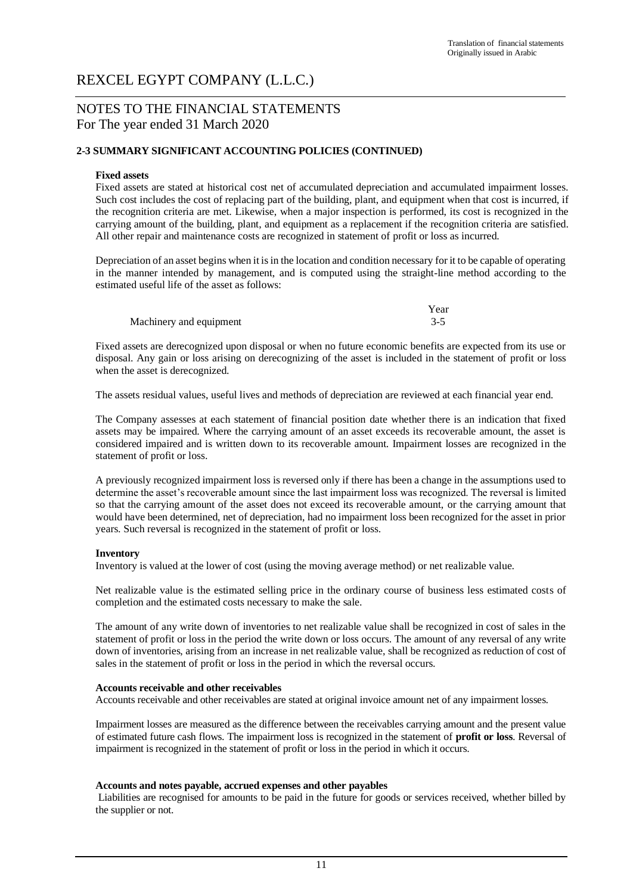# NOTES TO THE FINANCIAL STATEMENTS For The year ended 31 March 2020

### **2-3 SUMMARY SIGNIFICANT ACCOUNTING POLICIES (CONTINUED)**

#### **Fixed assets**

Fixed assets are stated at historical cost net of accumulated depreciation and accumulated impairment losses. Such cost includes the cost of replacing part of the building, plant, and equipment when that cost is incurred, if the recognition criteria are met. Likewise, when a major inspection is performed, its cost is recognized in the carrying amount of the building, plant, and equipment as a replacement if the recognition criteria are satisfied. All other repair and maintenance costs are recognized in statement of profit or loss as incurred.

Depreciation of an asset begins when it is in the location and condition necessary for it to be capable of operating in the manner intended by management, and is computed using the straight-line method according to the estimated useful life of the asset as follows:

|                         | Year    |
|-------------------------|---------|
| Machinery and equipment | $3 - 5$ |

Fixed assets are derecognized upon disposal or when no future economic benefits are expected from its use or disposal. Any gain or loss arising on derecognizing of the asset is included in the statement of profit or loss when the asset is derecognized.

The assets residual values, useful lives and methods of depreciation are reviewed at each financial year end.

The Company assesses at each statement of financial position date whether there is an indication that fixed assets may be impaired. Where the carrying amount of an asset exceeds its recoverable amount, the asset is considered impaired and is written down to its recoverable amount. Impairment losses are recognized in the statement of profit or loss.

A previously recognized impairment loss is reversed only if there has been a change in the assumptions used to determine the asset's recoverable amount since the last impairment loss was recognized. The reversal is limited so that the carrying amount of the asset does not exceed its recoverable amount, or the carrying amount that would have been determined, net of depreciation, had no impairment loss been recognized for the asset in prior years. Such reversal is recognized in the statement of profit or loss.

#### **Inventory**

Inventory is valued at the lower of cost (using the moving average method) or net realizable value.

Net realizable value is the estimated selling price in the ordinary course of business less estimated costs of completion and the estimated costs necessary to make the sale.

The amount of any write down of inventories to net realizable value shall be recognized in cost of sales in the statement of profit or loss in the period the write down or loss occurs. The amount of any reversal of any write down of inventories, arising from an increase in net realizable value, shall be recognized as reduction of cost of sales in the statement of profit or loss in the period in which the reversal occurs.

#### **Accounts receivable and other receivables**

Accounts receivable and other receivables are stated at original invoice amount net of any impairment losses.

Impairment losses are measured as the difference between the receivables carrying amount and the present value of estimated future cash flows. The impairment loss is recognized in the statement of **profit or loss**. Reversal of impairment is recognized in the statement of profit or loss in the period in which it occurs.

### **Accounts and notes payable, accrued expenses and other payables**

Liabilities are recognised for amounts to be paid in the future for goods or services received, whether billed by the supplier or not.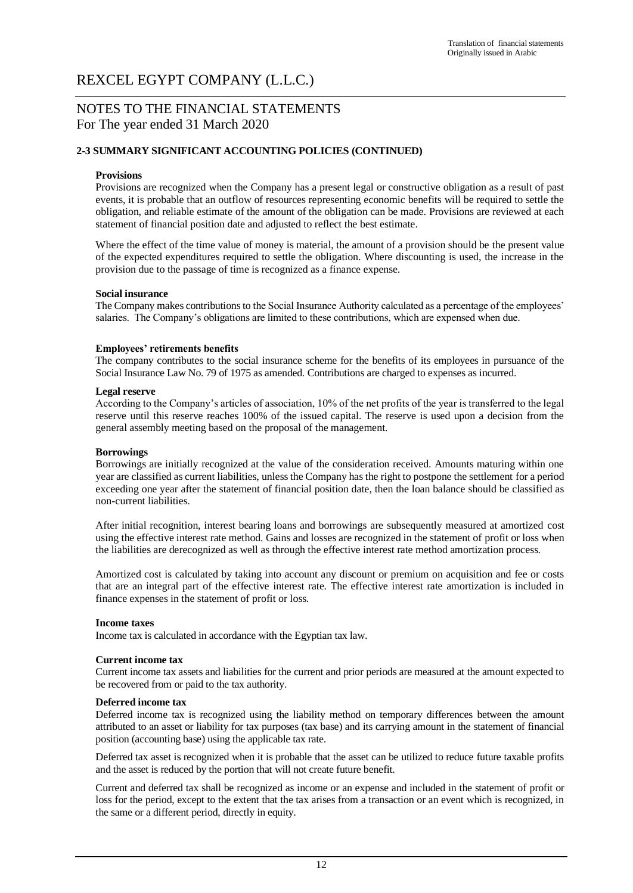# NOTES TO THE FINANCIAL STATEMENTS For The year ended 31 March 2020

### **2-3 SUMMARY SIGNIFICANT ACCOUNTING POLICIES (CONTINUED)**

#### **Provisions**

Provisions are recognized when the Company has a present legal or constructive obligation as a result of past events, it is probable that an outflow of resources representing economic benefits will be required to settle the obligation, and reliable estimate of the amount of the obligation can be made. Provisions are reviewed at each statement of financial position date and adjusted to reflect the best estimate.

Where the effect of the time value of money is material, the amount of a provision should be the present value of the expected expenditures required to settle the obligation. Where discounting is used, the increase in the provision due to the passage of time is recognized as a finance expense.

#### **Social insurance**

The Company makes contributions to the Social Insurance Authority calculated as a percentage of the employees' salaries. The Company's obligations are limited to these contributions, which are expensed when due.

### **Employees' retirements benefits**

The company contributes to the social insurance scheme for the benefits of its employees in pursuance of the Social Insurance Law No. 79 of 1975 as amended. Contributions are charged to expenses as incurred.

#### **Legal reserve**

According to the Company's articles of association, 10% of the net profits of the year is transferred to the legal reserve until this reserve reaches 100% of the issued capital. The reserve is used upon a decision from the general assembly meeting based on the proposal of the management.

#### **Borrowings**

Borrowings are initially recognized at the value of the consideration received. Amounts maturing within one year are classified as current liabilities, unless the Company has the right to postpone the settlement for a period exceeding one year after the statement of financial position date, then the loan balance should be classified as non-current liabilities.

After initial recognition, interest bearing loans and borrowings are subsequently measured at amortized cost using the effective interest rate method. Gains and losses are recognized in the statement of profit or loss when the liabilities are derecognized as well as through the effective interest rate method amortization process.

Amortized cost is calculated by taking into account any discount or premium on acquisition and fee or costs that are an integral part of the effective interest rate. The effective interest rate amortization is included in finance expenses in the statement of profit or loss.

#### **Income taxes**

Income tax is calculated in accordance with the Egyptian tax law.

#### **Current income tax**

Current income tax assets and liabilities for the current and prior periods are measured at the amount expected to be recovered from or paid to the tax authority.

#### **Deferred income tax**

Deferred income tax is recognized using the liability method on temporary differences between the amount attributed to an asset or liability for tax purposes (tax base) and its carrying amount in the statement of financial position (accounting base) using the applicable tax rate.

Deferred tax asset is recognized when it is probable that the asset can be utilized to reduce future taxable profits and the asset is reduced by the portion that will not create future benefit.

Current and deferred tax shall be recognized as income or an expense and included in the statement of profit or loss for the period, except to the extent that the tax arises from a transaction or an event which is recognized, in the same or a different period, directly in equity.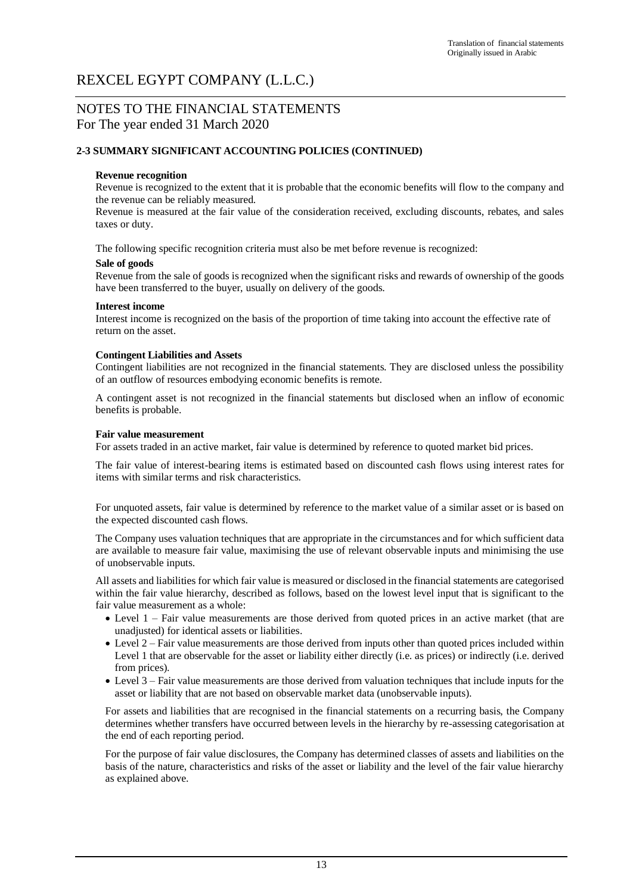# NOTES TO THE FINANCIAL STATEMENTS For The year ended 31 March 2020

### **2-3 SUMMARY SIGNIFICANT ACCOUNTING POLICIES (CONTINUED)**

#### **Revenue recognition**

Revenue is recognized to the extent that it is probable that the economic benefits will flow to the company and the revenue can be reliably measured.

Revenue is measured at the fair value of the consideration received, excluding discounts, rebates, and sales taxes or duty.

The following specific recognition criteria must also be met before revenue is recognized:

#### **Sale of goods**

Revenue from the sale of goods is recognized when the significant risks and rewards of ownership of the goods have been transferred to the buyer, usually on delivery of the goods.

#### **Interest income**

Interest income is recognized on the basis of the proportion of time taking into account the effective rate of return on the asset.

#### **Contingent Liabilities and Assets**

Contingent liabilities are not recognized in the financial statements. They are disclosed unless the possibility of an outflow of resources embodying economic benefits is remote.

A contingent asset is not recognized in the financial statements but disclosed when an inflow of economic benefits is probable.

#### **Fair value measurement**

For assets traded in an active market, fair value is determined by reference to quoted market bid prices.

The fair value of interest-bearing items is estimated based on discounted cash flows using interest rates for items with similar terms and risk characteristics.

For unquoted assets, fair value is determined by reference to the market value of a similar asset or is based on the expected discounted cash flows.

The Company uses valuation techniques that are appropriate in the circumstances and for which sufficient data are available to measure fair value, maximising the use of relevant observable inputs and minimising the use of unobservable inputs.

All assets and liabilities for which fair value is measured or disclosed in the financial statements are categorised within the fair value hierarchy, described as follows, based on the lowest level input that is significant to the fair value measurement as a whole:

- Level 1 Fair value measurements are those derived from quoted prices in an active market (that are unadjusted) for identical assets or liabilities.
- Level 2 Fair value measurements are those derived from inputs other than quoted prices included within Level 1 that are observable for the asset or liability either directly (i.e. as prices) or indirectly (i.e. derived from prices).
- Level 3 Fair value measurements are those derived from valuation techniques that include inputs for the asset or liability that are not based on observable market data (unobservable inputs).

For assets and liabilities that are recognised in the financial statements on a recurring basis, the Company determines whether transfers have occurred between levels in the hierarchy by re-assessing categorisation at the end of each reporting period.

For the purpose of fair value disclosures, the Company has determined classes of assets and liabilities on the basis of the nature, characteristics and risks of the asset or liability and the level of the fair value hierarchy as explained above.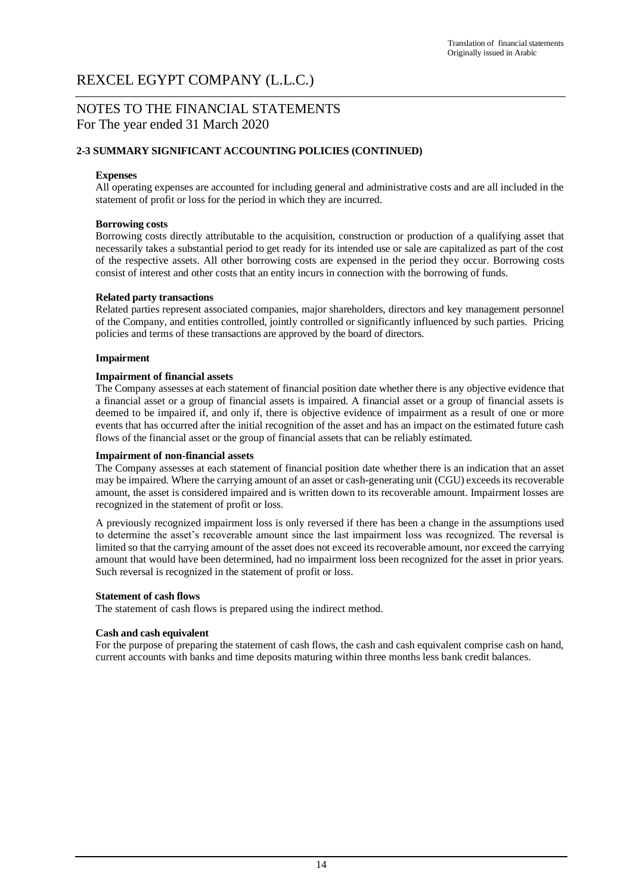# NOTES TO THE FINANCIAL STATEMENTS For The year ended 31 March 2020

## **2-3 SUMMARY SIGNIFICANT ACCOUNTING POLICIES (CONTINUED)**

### **Expenses**

All operating expenses are accounted for including general and administrative costs and are all included in the statement of profit or loss for the period in which they are incurred.

### **Borrowing costs**

Borrowing costs directly attributable to the acquisition, construction or production of a qualifying asset that necessarily takes a substantial period to get ready for its intended use or sale are capitalized as part of the cost of the respective assets. All other borrowing costs are expensed in the period they occur. Borrowing costs consist of interest and other costs that an entity incurs in connection with the borrowing of funds.

### **Related party transactions**

Related parties represent associated companies, major shareholders, directors and key management personnel of the Company, and entities controlled, jointly controlled or significantly influenced by such parties. Pricing policies and terms of these transactions are approved by the board of directors.

### **Impairment**

### **Impairment of financial assets**

The Company assesses at each statement of financial position date whether there is any objective evidence that a financial asset or a group of financial assets is impaired. A financial asset or a group of financial assets is deemed to be impaired if, and only if, there is objective evidence of impairment as a result of one or more events that has occurred after the initial recognition of the asset and has an impact on the estimated future cash flows of the financial asset or the group of financial assets that can be reliably estimated.

#### **Impairment of non-financial assets**

The Company assesses at each statement of financial position date whether there is an indication that an asset may be impaired. Where the carrying amount of an asset or cash-generating unit (CGU) exceeds its recoverable amount, the asset is considered impaired and is written down to its recoverable amount. Impairment losses are recognized in the statement of profit or loss.

A previously recognized impairment loss is only reversed if there has been a change in the assumptions used to determine the asset's recoverable amount since the last impairment loss was recognized. The reversal is limited so that the carrying amount of the asset does not exceed its recoverable amount, nor exceed the carrying amount that would have been determined, had no impairment loss been recognized for the asset in prior years. Such reversal is recognized in the statement of profit or loss.

### **Statement of cash flows**

The statement of cash flows is prepared using the indirect method.

#### **Cash and cash equivalent**

For the purpose of preparing the statement of cash flows, the cash and cash equivalent comprise cash on hand, current accounts with banks and time deposits maturing within three months less bank credit balances.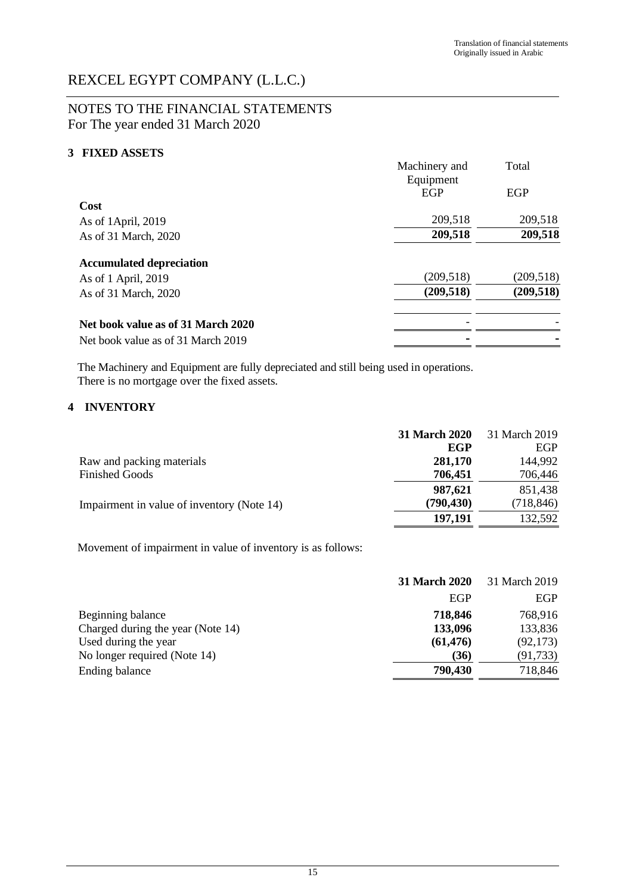# NOTES TO THE FINANCIAL STATEMENTS For The year ended 31 March 2020

## **3 FIXED ASSETS**

|                                    | Machinery and           | Total      |
|------------------------------------|-------------------------|------------|
|                                    | Equipment<br><b>EGP</b> | EGP        |
| Cost                               |                         |            |
| As of 1April, 2019                 | 209,518                 | 209,518    |
| As of 31 March, 2020               | 209,518                 | 209,518    |
| <b>Accumulated depreciation</b>    |                         |            |
| As of 1 April, 2019                | (209, 518)              | (209, 518) |
| As of 31 March, 2020               | (209, 518)              | (209, 518) |
| Net book value as of 31 March 2020 |                         |            |
| Net book value as of 31 March 2019 |                         |            |

The Machinery and Equipment are fully depreciated and still being used in operations. There is no mortgage over the fixed assets.

## **4 INVENTORY**

|                                            | <b>31 March 2020</b> | 31 March 2019 |
|--------------------------------------------|----------------------|---------------|
|                                            | EGP                  | EGP           |
| Raw and packing materials                  | 281,170              | 144,992       |
| <b>Finished Goods</b>                      | 706,451              | 706,446       |
|                                            | 987,621              | 851,438       |
| Impairment in value of inventory (Note 14) | (790, 430)           | (718, 846)    |
|                                            | 197,191              | 132,592       |

Movement of impairment in value of inventory is as follows:

|                                   | 31 March 2020 | 31 March 2019 |
|-----------------------------------|---------------|---------------|
|                                   | EGP           | EGP           |
| Beginning balance                 | 718,846       | 768,916       |
| Charged during the year (Note 14) | 133,096       | 133,836       |
| Used during the year              | (61, 476)     | (92, 173)     |
| No longer required (Note 14)      | (36)          | (91, 733)     |
| Ending balance                    | 790,430       | 718,846       |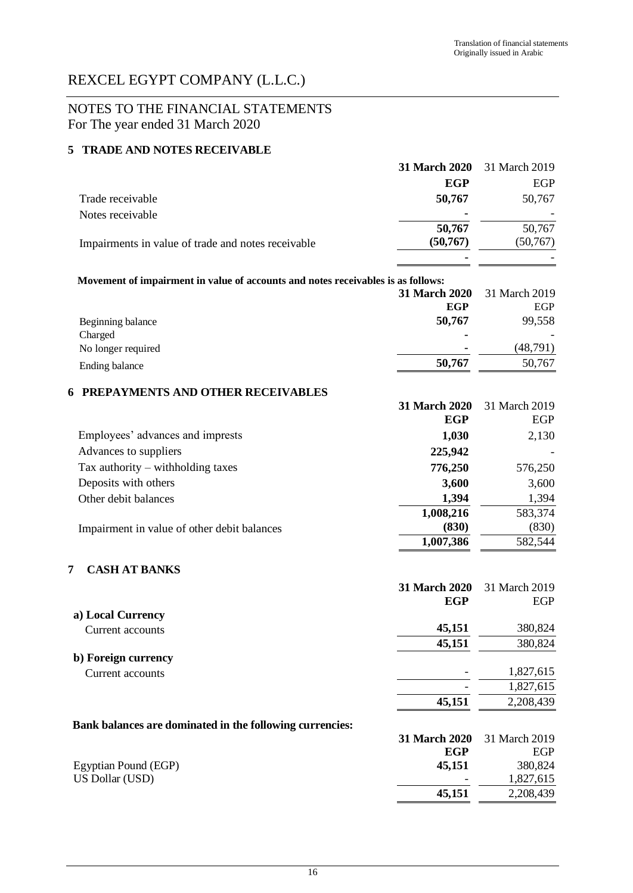# NOTES TO THE FINANCIAL STATEMENTS For The year ended 31 March 2020

## **5 TRADE AND NOTES RECEIVABLE**

|                                                                                  | 31 March 2020 | 31 March 2019 |
|----------------------------------------------------------------------------------|---------------|---------------|
|                                                                                  | <b>EGP</b>    | EGP           |
| Trade receivable                                                                 | 50,767        | 50,767        |
| Notes receivable                                                                 |               |               |
|                                                                                  | 50,767        | 50,767        |
| Impairments in value of trade and notes receivable                               | (50, 767)     | (50, 767)     |
|                                                                                  |               |               |
| Movement of impairment in value of accounts and notes receivables is as follows: |               |               |
|                                                                                  | 31 March 2020 | 31 March 2019 |
|                                                                                  | <b>EGP</b>    | EGP           |
| Beginning balance                                                                | 50,767        | 99,558        |
| Charged                                                                          |               |               |
| No longer required                                                               |               | (48, 791)     |
| Ending balance                                                                   | 50,767        | 50,767        |
| PREPAYMENTS AND OTHER RECEIVABLES<br>6                                           |               |               |
|                                                                                  | 31 March 2020 | 31 March 2019 |
|                                                                                  | EGP           | EGP           |
| Employees' advances and imprests                                                 | 1,030         | 2,130         |
| Advances to suppliers                                                            | 225,942       |               |
| Tax authority $-$ withholding taxes                                              | 776,250       | 576,250       |
| Deposits with others                                                             | 3,600         | 3,600         |
| Other debit balances                                                             | 1,394         | 1,394         |
|                                                                                  | 1,008,216     | 583,374       |
| Impairment in value of other debit balances                                      | (830)         | (830)         |
|                                                                                  | 1,007,386     | 582,544       |
|                                                                                  |               |               |
| <b>CASH AT BANKS</b><br>7                                                        |               |               |
|                                                                                  | 31 March 2020 | 31 March 2019 |
| a) Local Currency                                                                | <b>EGP</b>    | EGP           |
| Current accounts                                                                 | 45,151        | 380,824       |
|                                                                                  | 45,151        | 380,824       |
| b) Foreign currency                                                              |               |               |
| Current accounts                                                                 |               | 1,827,615     |
|                                                                                  |               | 1,827,615     |
|                                                                                  | 45,151        | 2,208,439     |
| Bank balances are dominated in the following currencies:                         |               |               |
|                                                                                  | 31 March 2020 | 31 March 2019 |
|                                                                                  | <b>EGP</b>    | EGP           |
| Egyptian Pound (EGP)                                                             | 45,151        | 380,824       |
| US Dollar (USD)                                                                  |               | 1,827,615     |
|                                                                                  | 45,151        | 2,208,439     |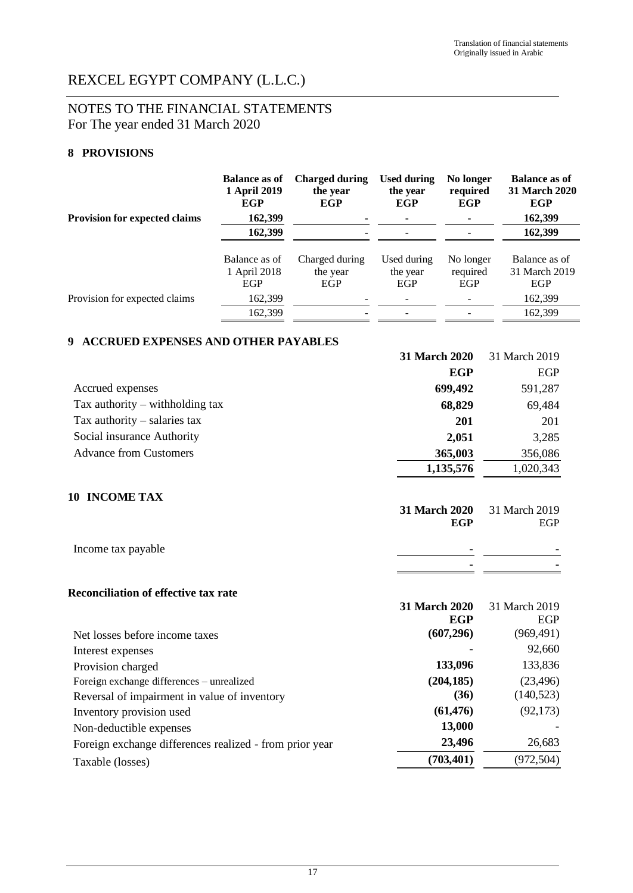# NOTES TO THE FINANCIAL STATEMENTS For The year ended 31 March 2020

# **8 PROVISIONS**

|                                                 | <b>Balance as of</b><br>1 April 2019<br><b>EGP</b>     | <b>Charged during</b><br>the year<br><b>EGP</b> | <b>Used during</b><br>the year<br><b>EGP</b> | No longer<br>required<br><b>EGP</b> | <b>Balance as of</b><br>31 March 2020<br><b>EGP</b>     |
|-------------------------------------------------|--------------------------------------------------------|-------------------------------------------------|----------------------------------------------|-------------------------------------|---------------------------------------------------------|
| <b>Provision for expected claims</b>            | 162,399                                                |                                                 |                                              |                                     | 162,399                                                 |
|                                                 | 162,399                                                |                                                 |                                              |                                     | 162,399                                                 |
| Provision for expected claims                   | Balance as of<br>1 April 2018<br><b>EGP</b><br>162,399 | Charged during<br>the year<br><b>EGP</b>        | Used during<br>the year<br><b>EGP</b>        | No longer<br>required<br>EGP        | Balance as of<br>31 March 2019<br><b>EGP</b><br>162,399 |
|                                                 | 162,399                                                |                                                 |                                              |                                     | 162,399                                                 |
| <b>ACCRUED EXPENSES AND OTHER PAYABLES</b><br>9 |                                                        |                                                 |                                              |                                     |                                                         |
|                                                 |                                                        |                                                 | 31 March 2020                                |                                     | 31 March 2019                                           |
|                                                 |                                                        |                                                 |                                              | <b>EGP</b>                          | <b>EGP</b>                                              |
| Accrued expenses                                |                                                        |                                                 |                                              | 699,492                             | 591,287                                                 |
| Tax authority $-$ withholding tax               |                                                        |                                                 |                                              | 68,829                              | 69,484                                                  |
| Tax authority $-$ salaries tax                  |                                                        |                                                 |                                              | 201                                 | 201                                                     |
| Social insurance Authority                      |                                                        |                                                 |                                              | 2,051                               | 3,285                                                   |
| <b>Advance from Customers</b>                   |                                                        |                                                 |                                              | 365,003                             | 356,086                                                 |
|                                                 |                                                        |                                                 |                                              | 1,135,576                           | 1,020,343                                               |
| <b>10 INCOME TAX</b>                            |                                                        |                                                 | 31 March 2020                                | <b>EGP</b>                          | 31 March 2019<br><b>EGP</b>                             |
| Income tax payable                              |                                                        |                                                 |                                              |                                     |                                                         |
|                                                 |                                                        |                                                 |                                              |                                     |                                                         |
| <b>Reconciliation of effective tax rate</b>     |                                                        |                                                 |                                              |                                     |                                                         |
|                                                 |                                                        |                                                 | 31 March 2020                                |                                     | 31 March 2019                                           |
| Net losses before income taxes                  |                                                        |                                                 |                                              | <b>EGP</b><br>(607, 296)            | EGP<br>(969, 491)<br>92.660                             |
| Intoract ornances                               |                                                        |                                                 |                                              |                                     |                                                         |

| Net losses before income taxes                          | (00/.290)  | (909,491)  |
|---------------------------------------------------------|------------|------------|
| Interest expenses                                       |            | 92,660     |
| Provision charged                                       | 133,096    | 133,836    |
| Foreign exchange differences – unrealized               | (204, 185) | (23, 496)  |
| Reversal of impairment in value of inventory            | (36)       | (140, 523) |
| Inventory provision used                                | (61, 476)  | (92, 173)  |
| Non-deductible expenses                                 | 13,000     |            |
| Foreign exchange differences realized - from prior year | 23,496     | 26,683     |
| Taxable (losses)                                        | (703, 401) | (972, 504) |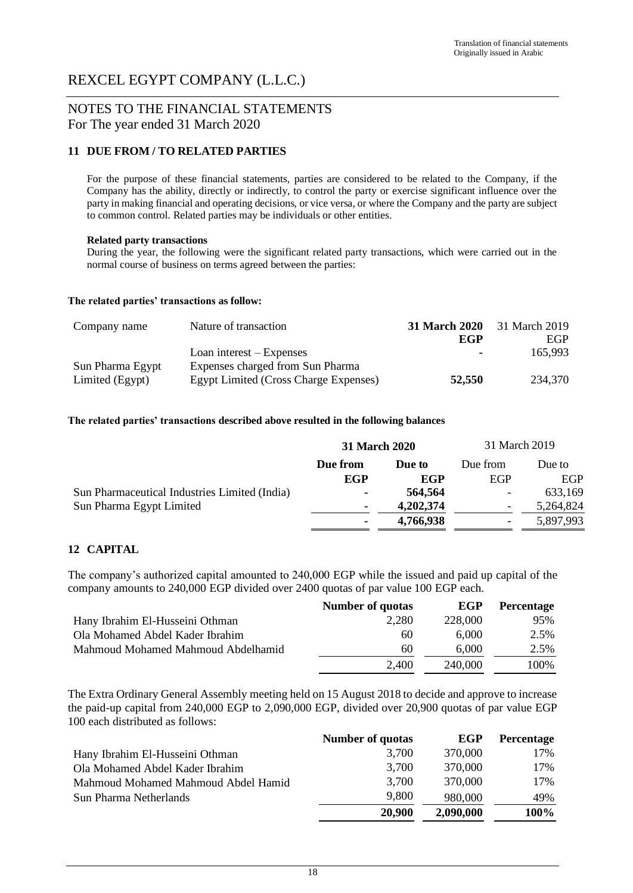# NOTES TO THE FINANCIAL STATEMENTS For The year ended 31 March 2020

## **11 DUE FROM / TO RELATED PARTIES**

For the purpose of these financial statements, parties are considered to be related to the Company, if the Company has the ability, directly or indirectly, to control the party or exercise significant influence over the party in making financial and operating decisions, or vice versa, or where the Company and the party are subject to common control. Related parties may be individuals or other entities.

### **Related party transactions**

During the year, the following were the significant related party transactions, which were carried out in the normal course of business on terms agreed between the parties:

#### **The related parties' transactions as follow:**

| Company name     | Nature of transaction                 | <b>31 March 2020</b> | 31 March 2019 |
|------------------|---------------------------------------|----------------------|---------------|
|                  |                                       | EGP                  | EGP           |
|                  | Loan interest $-$ Expenses            | $\blacksquare$       | 165.993       |
| Sun Pharma Egypt | Expenses charged from Sun Pharma      |                      |               |
| Limited (Egypt)  | Egypt Limited (Cross Charge Expenses) | 52,550               | 234,370       |

### **The related parties' transactions described above resulted in the following balances**

|                                               | <b>31 March 2020</b> |           | 31 March 2019            |            |
|-----------------------------------------------|----------------------|-----------|--------------------------|------------|
|                                               | Due from             | Due to    | Due from                 | Due to     |
|                                               | EGP                  | EGP       | <b>EGP</b>               | <b>EGP</b> |
| Sun Pharmaceutical Industries Limited (India) | ۰                    | 564,564   | $\overline{\phantom{a}}$ | 633,169    |
| Sun Pharma Egypt Limited                      |                      | 4,202,374 |                          | 5,264,824  |
|                                               | ۰                    | 4,766,938 | $\overline{\phantom{0}}$ | 5,897,993  |

# **12 CAPITAL**

The company's authorized capital amounted to 240,000 EGP while the issued and paid up capital of the company amounts to 240,000 EGP divided over 2400 quotas of par value 100 EGP each.

|                                    | <b>Number of quotas</b> | EGP     | <b>Percentage</b> |
|------------------------------------|-------------------------|---------|-------------------|
| Hany Ibrahim El-Husseini Othman    | 2,280                   | 228,000 | 95%               |
| Ola Mohamed Abdel Kader Ibrahim    | 60                      | 6.000   | 2.5%              |
| Mahmoud Mohamed Mahmoud Abdelhamid | 60                      | 6.000   | 2.5%              |
|                                    | 2,400                   | 240,000 | 100%              |

The Extra Ordinary General Assembly meeting held on 15 August 2018 to decide and approve to increase the paid-up capital from 240,000 EGP to 2,090,000 EGP, divided over 20,900 quotas of par value EGP 100 each distributed as follows:

|                                     | <b>Number of quotas</b> | EGP       | <b>Percentage</b> |
|-------------------------------------|-------------------------|-----------|-------------------|
| Hany Ibrahim El-Husseini Othman     | 3,700                   | 370,000   | 17%               |
| Ola Mohamed Abdel Kader Ibrahim     | 3,700                   | 370,000   | 17%               |
| Mahmoud Mohamed Mahmoud Abdel Hamid | 3,700                   | 370,000   | 17%               |
| Sun Pharma Netherlands              | 9,800                   | 980,000   | 49%               |
|                                     | 20,900                  | 2,090,000 | 100%              |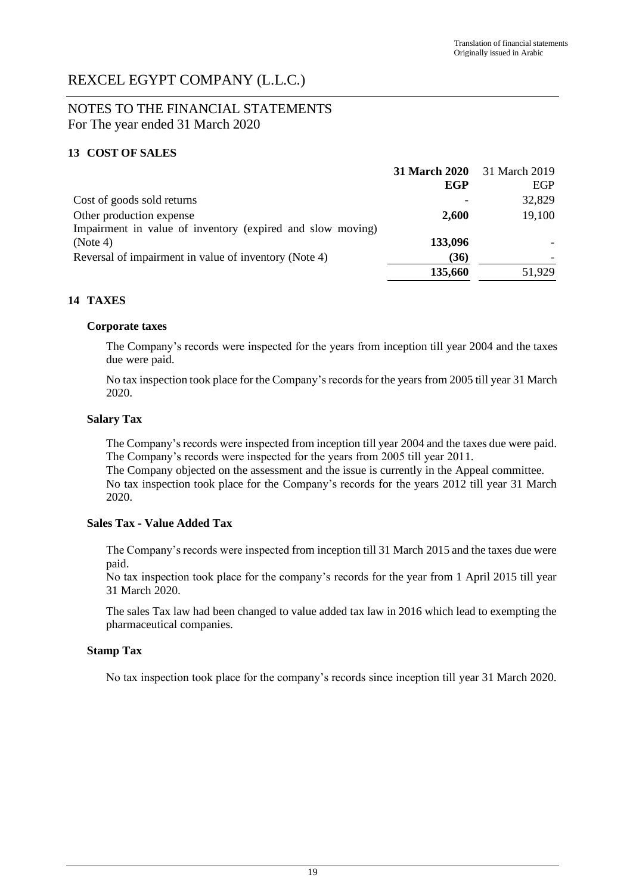# NOTES TO THE FINANCIAL STATEMENTS For The year ended 31 March 2020

## **13 COST OF SALES**

|                                                            | 31 March 2020 31 March 2019 |        |
|------------------------------------------------------------|-----------------------------|--------|
|                                                            | EGP                         | EGP    |
| Cost of goods sold returns                                 |                             | 32,829 |
| Other production expense                                   | 2,600                       | 19,100 |
| Impairment in value of inventory (expired and slow moving) |                             |        |
| (Note 4)                                                   | 133,096                     |        |
| Reversal of impairment in value of inventory (Note 4)      | (36)                        |        |
|                                                            | 135,660                     | 51.929 |

## **14 TAXES**

## **Corporate taxes**

The Company's records were inspected for the years from inception till year 2004 and the taxes due were paid.

No tax inspection took place for the Company's records for the years from 2005 till year 31 March 2020.

## **Salary Tax**

The Company's records were inspected from inception till year 2004 and the taxes due were paid. The Company's records were inspected for the years from 2005 till year 2011.

The Company objected on the assessment and the issue is currently in the Appeal committee. No tax inspection took place for the Company's records for the years 2012 till year 31 March 2020.

### **Sales Tax - Value Added Tax**

The Company's records were inspected from inception till 31 March 2015 and the taxes due were paid.

No tax inspection took place for the company's records for the year from 1 April 2015 till year 31 March 2020.

The sales Tax law had been changed to value added tax law in 2016 which lead to exempting the pharmaceutical companies.

### **Stamp Tax**

No tax inspection took place for the company's records since inception till year 31 March 2020.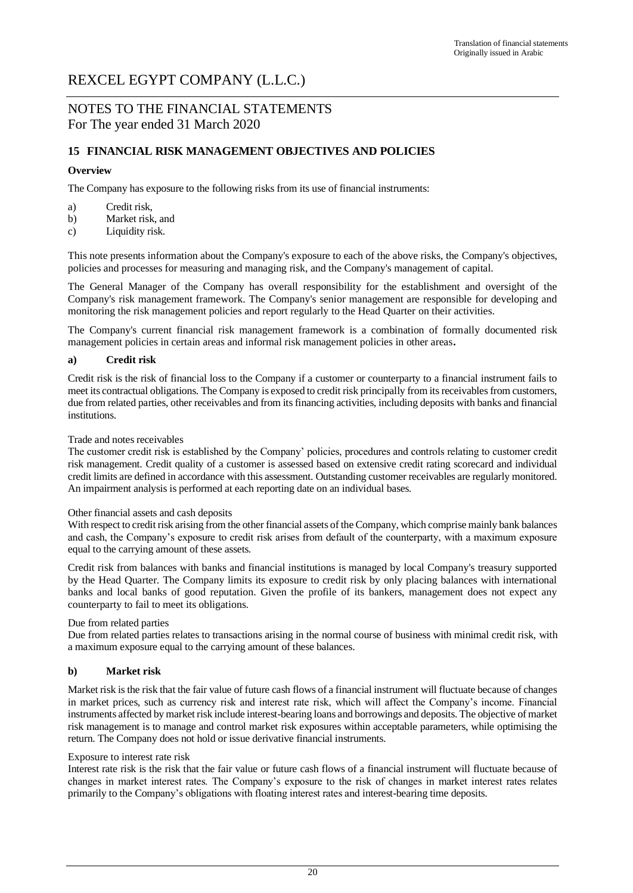# NOTES TO THE FINANCIAL STATEMENTS For The year ended 31 March 2020

## **15 FINANCIAL RISK MANAGEMENT OBJECTIVES AND POLICIES**

## **Overview**

The Company has exposure to the following risks from its use of financial instruments:

- a) Credit risk,
- b) Market risk, and
- c) Liquidity risk.

This note presents information about the Company's exposure to each of the above risks, the Company's objectives, policies and processes for measuring and managing risk, and the Company's management of capital.

The General Manager of the Company has overall responsibility for the establishment and oversight of the Company's risk management framework. The Company's senior management are responsible for developing and monitoring the risk management policies and report regularly to the Head Quarter on their activities.

The Company's current financial risk management framework is a combination of formally documented risk management policies in certain areas and informal risk management policies in other areas**.**

### **a) Credit risk**

Credit risk is the risk of financial loss to the Company if a customer or counterparty to a financial instrument fails to meet its contractual obligations. The Company is exposed to credit risk principally from its receivables from customers, due from related parties, other receivables and from its financing activities, including deposits with banks and financial institutions.

### Trade and notes receivables

The customer credit risk is established by the Company' policies, procedures and controls relating to customer credit risk management. Credit quality of a customer is assessed based on extensive credit rating scorecard and individual credit limits are defined in accordance with this assessment. Outstanding customer receivables are regularly monitored. An impairment analysis is performed at each reporting date on an individual bases.

#### Other financial assets and cash deposits

With respect to credit risk arising from the other financial assets of the Company, which comprise mainly bank balances and cash, the Company's exposure to credit risk arises from default of the counterparty, with a maximum exposure equal to the carrying amount of these assets.

Credit risk from balances with banks and financial institutions is managed by local Company's treasury supported by the Head Quarter. The Company limits its exposure to credit risk by only placing balances with international banks and local banks of good reputation. Given the profile of its bankers, management does not expect any counterparty to fail to meet its obligations.

#### Due from related parties

Due from related parties relates to transactions arising in the normal course of business with minimal credit risk, with a maximum exposure equal to the carrying amount of these balances.

### **b) Market risk**

Market risk is the risk that the fair value of future cash flows of a financial instrument will fluctuate because of changes in market prices, such as currency risk and interest rate risk, which will affect the Company's income. Financial instruments affected by market risk include interest-bearing loans and borrowings and deposits. The objective of market risk management is to manage and control market risk exposures within acceptable parameters, while optimising the return. The Company does not hold or issue derivative financial instruments.

#### Exposure to interest rate risk

Interest rate risk is the risk that the fair value or future cash flows of a financial instrument will fluctuate because of changes in market interest rates. The Company's exposure to the risk of changes in market interest rates relates primarily to the Company's obligations with floating interest rates and interest-bearing time deposits.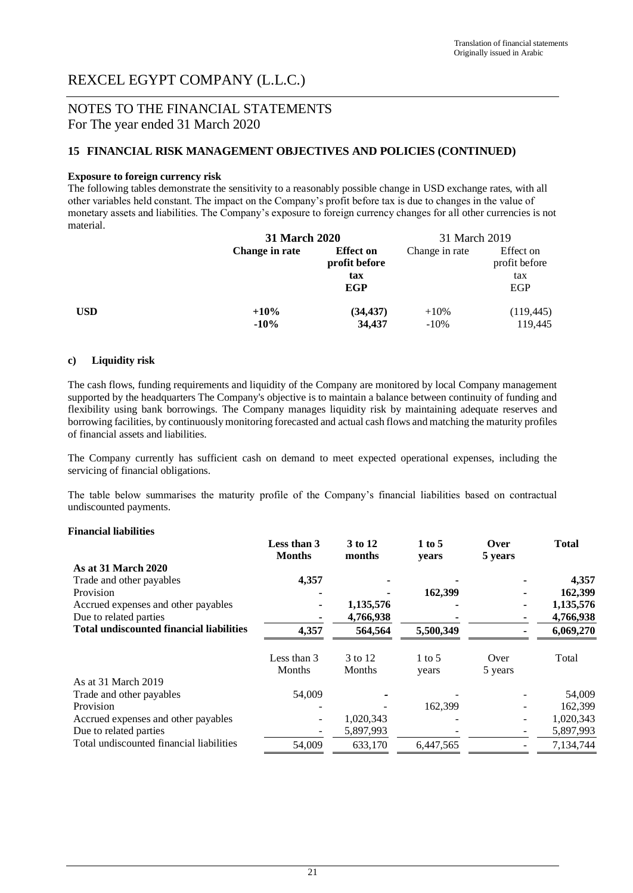# NOTES TO THE FINANCIAL STATEMENTS For The year ended 31 March 2020

## **15 FINANCIAL RISK MANAGEMENT OBJECTIVES AND POLICIES (CONTINUED)**

### **Exposure to foreign currency risk**

The following tables demonstrate the sensitivity to a reasonably possible change in USD exchange rates, with all other variables held constant. The impact on the Company's profit before tax is due to changes in the value of monetary assets and liabilities. The Company's exposure to foreign currency changes for all other currencies is not material.

|     |                   | 31 March 2020                                          |                   | 31 March 2019                            |  |
|-----|-------------------|--------------------------------------------------------|-------------------|------------------------------------------|--|
|     | Change in rate    | <b>Effect on</b><br>profit before<br>tax<br><b>EGP</b> | Change in rate    | Effect on<br>profit before<br>tax<br>EGP |  |
| USD | $+10%$<br>$-10\%$ | (34, 437)<br>34,437                                    | $+10%$<br>$-10\%$ | (119, 445)<br>119,445                    |  |

#### **c) Liquidity risk**

The cash flows, funding requirements and liquidity of the Company are monitored by local Company management supported by the headquarters The Company's objective is to maintain a balance between continuity of funding and flexibility using bank borrowings. The Company manages liquidity risk by maintaining adequate reserves and borrowing facilities, by continuously monitoring forecasted and actual cash flows and matching the maturity profiles of financial assets and liabilities.

The Company currently has sufficient cash on demand to meet expected operational expenses, including the servicing of financial obligations.

The table below summarises the maturity profile of the Company's financial liabilities based on contractual undiscounted payments.

#### **Financial liabilities**

|                                                 | Less than 3<br><b>Months</b> | 3 to 12<br>months | 1 to 5<br>years   | Over<br>5 years | <b>Total</b> |
|-------------------------------------------------|------------------------------|-------------------|-------------------|-----------------|--------------|
| As at 31 March 2020                             |                              |                   |                   |                 |              |
| Trade and other payables                        | 4,357                        |                   |                   |                 | 4,357        |
| Provision                                       |                              |                   | 162,399           |                 | 162,399      |
| Accrued expenses and other payables             |                              | 1,135,576         |                   | ۰               | 1,135,576    |
| Due to related parties                          |                              | 4,766,938         |                   | ۰               | 4,766,938    |
| <b>Total undiscounted financial liabilities</b> | 4,357                        | 564,564           | 5,500,349         |                 | 6,069,270    |
|                                                 | Less than 3<br>Months        | 3 to 12<br>Months | $1 \text{ to } 5$ | Over            | Total        |
| As at 31 March 2019                             |                              |                   | years             | 5 years         |              |
| Trade and other payables                        | 54,009                       |                   |                   |                 | 54,009       |
| Provision                                       |                              |                   | 162.399           |                 | 162,399      |
| Accrued expenses and other payables             | ۰                            | 1,020,343         |                   | -               | 1,020,343    |
| Due to related parties                          |                              | 5,897,993         |                   | -               | 5,897,993    |
| Total undiscounted financial liabilities        | 54,009                       | 633,170           | 6,447,565         |                 | 7,134,744    |